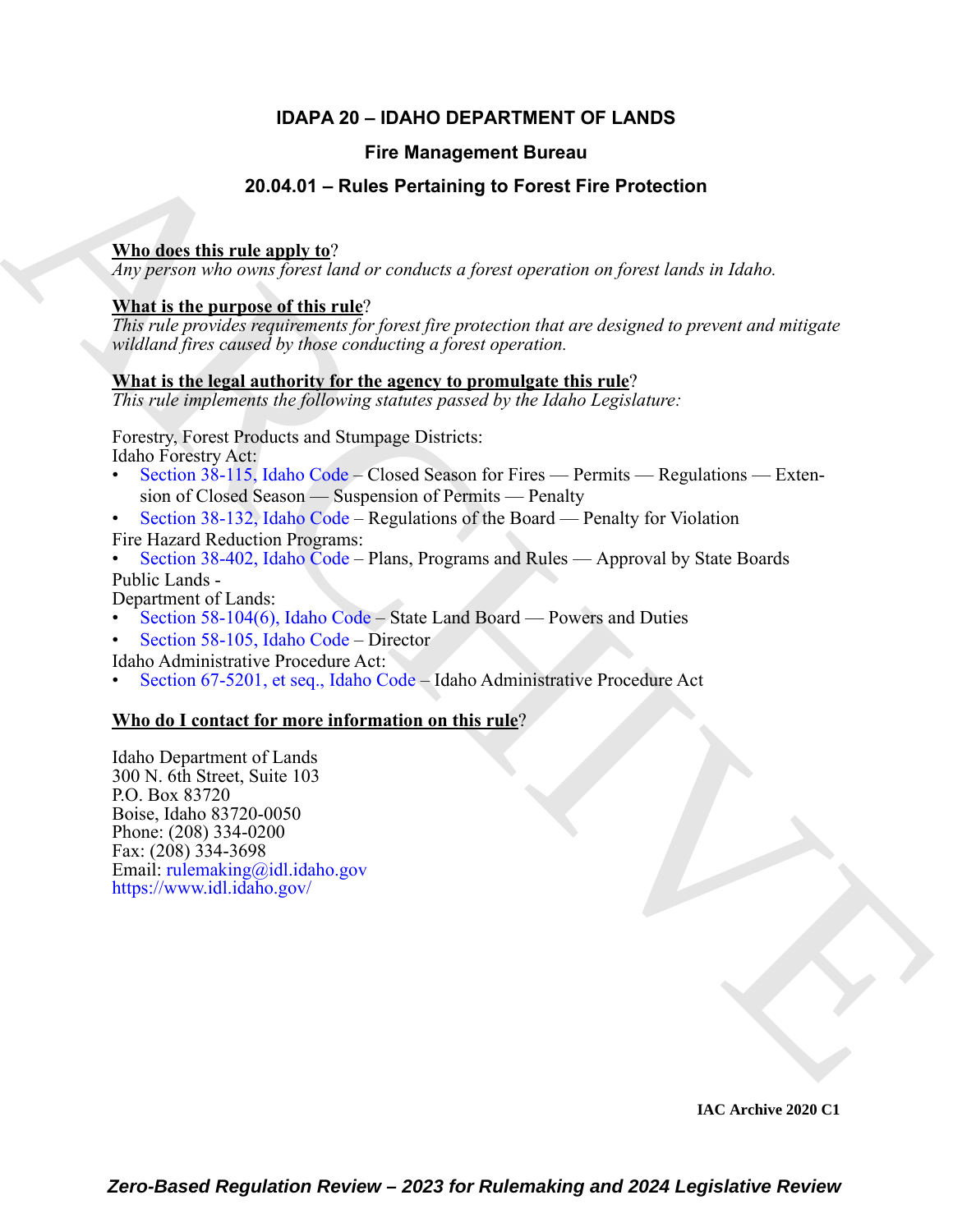### **IDAPA 20 – IDAHO DEPARTMENT OF LANDS**

#### **Fire Management Bureau**

#### **20.04.01 – Rules Pertaining to Forest Fire Protection**

#### **Who does this rule apply to**?

*Any person who owns forest land or conducts a forest operation on forest lands in Idaho.*

#### **What is the purpose of this rule**?

*This rule provides requirements for forest fire protection that are designed to prevent and mitigate wildland fires caused by those conducting a forest operation.*

#### **What is the legal authority for the agency to promulgate this rule**?

*This rule implements the following statutes passed by the Idaho Legislature:*

Forestry, Forest Products and Stumpage Districts: Idaho Forestry Act:

- Section 38-115, Idaho Code Closed Season for Fires Permits Regulations Extension of Closed Season — Suspension of Permits — Penalty
- Section 38-132, Idaho Code Regulations of the Board Penalty for Violation Fire Hazard Reduction Programs:

• Section 38-402, Idaho Code – Plans, Programs and Rules — Approval by State Boards Public Lands -

Department of Lands:

• Section 58-104(6), Idaho Code – State Land Board — Powers and Duties

• Section 58-105, Idaho Code – Director

Idaho Administrative Procedure Act:

• Section 67-5201, et seq., Idaho Code – Idaho Administrative Procedure Act

#### **Who do I contact for more information on this rule**?

Fire Management Bureau<br>
20.04.01 – [R](https://legislature.idaho.gov/statutesrules/idstat/Title38/T38CH1/SECT38-115/)ules Pertaining to Forest Fire Protection<br>
When disc this rule angly to?<br>  $\frac{1}{2}$  ( $\frac{1}{2}$  ( $\frac{1}{2}$  ( $\frac{1}{2}$  ( $\frac{1}{2}$  ( $\frac{1}{2}$  ( $\frac{1}{2}$  ( $\frac{1}{2}$  ( $\frac{1}{2}$  ( $\frac{1}{2}$  (Idaho Department of Lands 300 N. 6th Street, Suite 103 P.O. Box 83720 Boise, Idaho 83720-0050 Phone: (208) 334-0200 Fax: (208) 334-3698 Email: rulemaking@idl.idaho.gov https://www.idl.idaho.gov/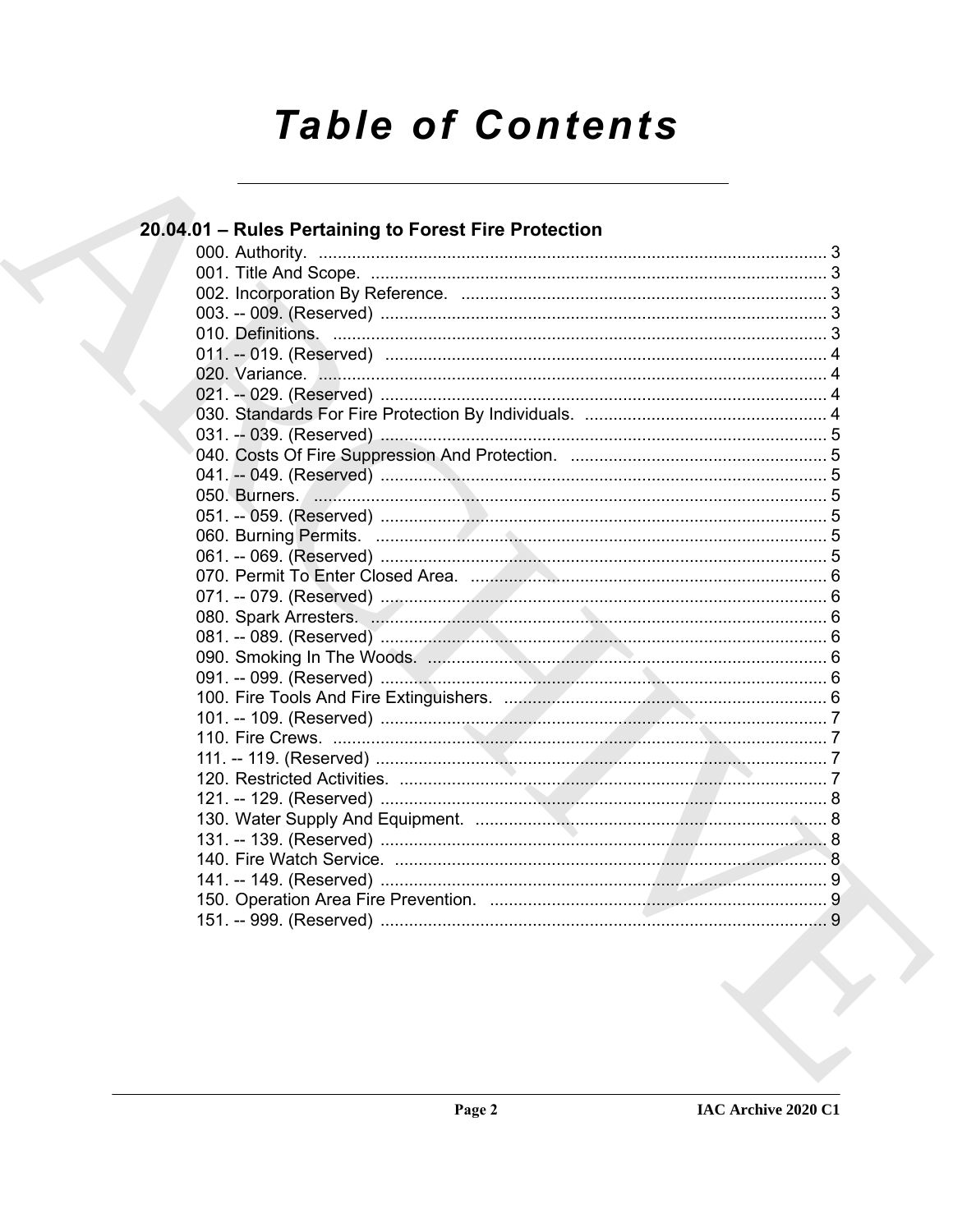# **Table of Contents**

| 20.04.01 - Rules Pertaining to Forest Fire Protection |  |
|-------------------------------------------------------|--|
|                                                       |  |
|                                                       |  |
|                                                       |  |
|                                                       |  |
|                                                       |  |
|                                                       |  |
|                                                       |  |
|                                                       |  |
|                                                       |  |
|                                                       |  |
|                                                       |  |
|                                                       |  |
|                                                       |  |
|                                                       |  |
|                                                       |  |
|                                                       |  |
|                                                       |  |
|                                                       |  |
|                                                       |  |
|                                                       |  |
|                                                       |  |
|                                                       |  |
|                                                       |  |
|                                                       |  |
|                                                       |  |
|                                                       |  |
|                                                       |  |
|                                                       |  |
|                                                       |  |
|                                                       |  |
|                                                       |  |
|                                                       |  |
|                                                       |  |
|                                                       |  |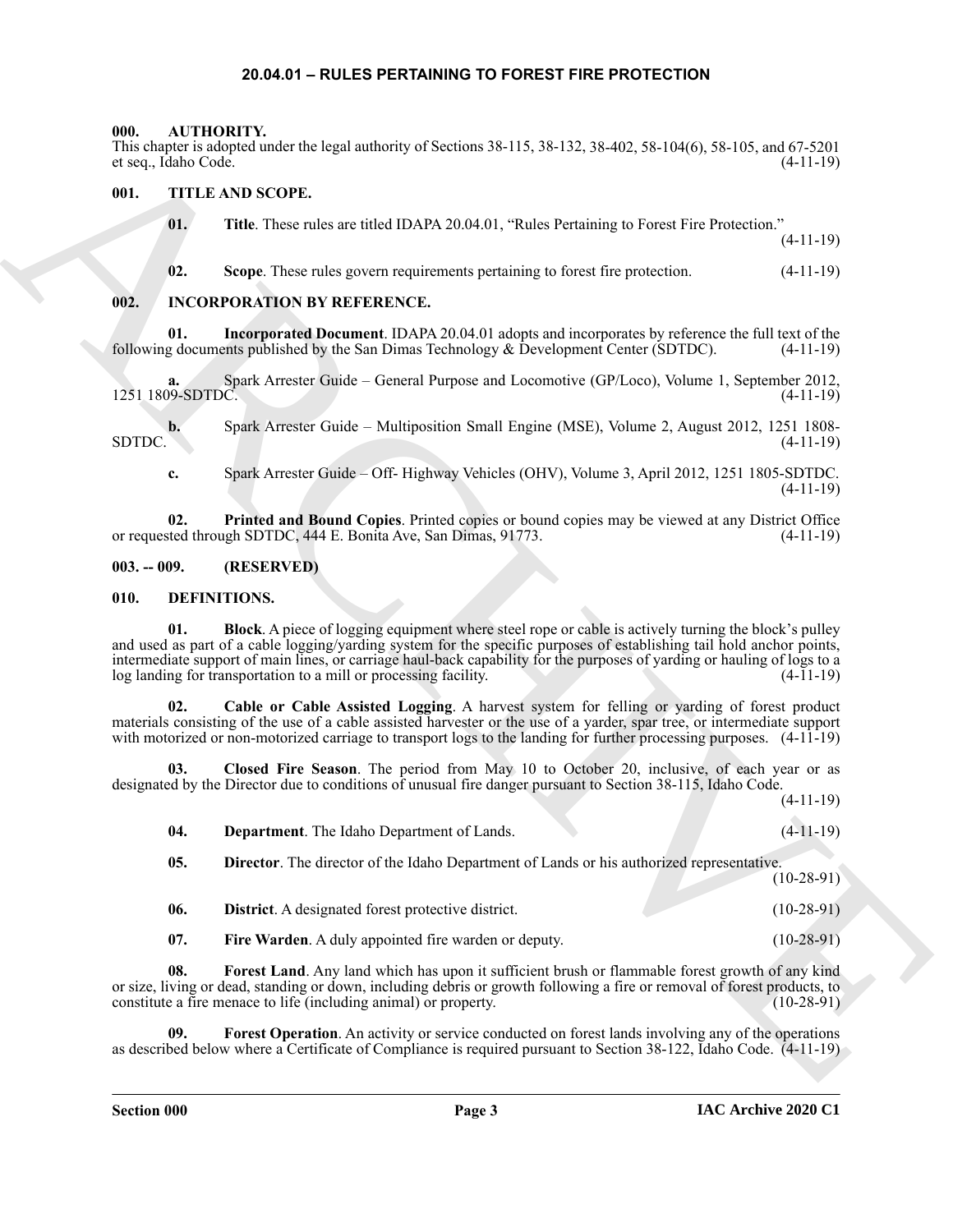#### **20.04.01 – RULES PERTAINING TO FOREST FIRE PROTECTION**

#### <span id="page-2-6"></span><span id="page-2-1"></span><span id="page-2-0"></span>**000. AUTHORITY.**

This chapter is adopted under the legal authority of Sections 38-115, 38-132, 38-402, 58-104(6), 58-105, and 67-5201 et seq., Idaho Code.

#### <span id="page-2-2"></span>**001. TITLE AND SCOPE.**

<span id="page-2-18"></span>**01. Title**. These rules are titled IDAPA 20.04.01, "Rules Pertaining to Forest Fire Protection."

(4-11-19)

<span id="page-2-17"></span>**02. Scope**. These rules govern requirements pertaining to forest fire protection. (4-11-19)

#### <span id="page-2-3"></span>**002. INCORPORATION BY REFERENCE.**

**01.** Incorporated Document. IDAPA 20.04.01 adopts and incorporates by reference the full text of the g documents published by the San Dimas Technology & Development Center (SDTDC). (4-11-19) following documents published by the San Dimas Technology  $\&$  Development Center (SDTDC).

**a.** Spark Arrester Guide – General Purpose and Locomotive (GP/Loco), Volume 1, September 2012, 1251 1809-SDTDC. (4-11-19)

**b.** Spark Arrester Guide – Multiposition Small Engine (MSE), Volume 2, August 2012, 1251 1808- SDTDC. (4-11-19)

**c.** Spark Arrester Guide – Off- Highway Vehicles (OHV), Volume 3, April 2012, 1251 1805-SDTDC. (4-11-19)

**02.** Printed and Bound Copies. Printed copies or bound copies may be viewed at any District Office ted through SDTDC, 444 E. Bonita Ave, San Dimas, 91773. (4-11-19) or requested through SDTDC, 444 E. Bonita Ave, San Dimas, 91773.

#### <span id="page-2-4"></span>**003. -- 009. (RESERVED)**

#### <span id="page-2-8"></span><span id="page-2-7"></span><span id="page-2-5"></span>**010. DEFINITIONS.**

ARCHIVE **01. Block**. A piece of logging equipment where steel rope or cable is actively turning the block's pulley and used as part of a cable logging/yarding system for the specific purposes of establishing tail hold anchor points, intermediate support of main lines, or carriage haul-back capability for the purposes of yarding or hauling of logs to a log landing for transportation to a mill or processing facility. (4-11-19)

<span id="page-2-9"></span>**02. Cable or Cable Assisted Logging**. A harvest system for felling or yarding of forest product materials consisting of the use of a cable assisted harvester or the use of a yarder, spar tree, or intermediate support with motorized or non-motorized carriage to transport logs to the landing for further processing purposes.  $(4-11-19)$ 

**03. Closed Fire Season**. The period from May 10 to October 20, inclusive, of each year or as designated by the Director due to conditions of unusual fire danger pursuant to Section 38-115, Idaho Code. (4-11-19)

<span id="page-2-10"></span>

| <b>Department</b> . The Idaho Department of Lands. |  | $(4-11-19)$ |
|----------------------------------------------------|--|-------------|
|                                                    |  |             |

<span id="page-2-12"></span><span id="page-2-11"></span>**05. Director**. The director of the Idaho Department of Lands or his authorized representative. (10-28-91)

<span id="page-2-13"></span>

| -06.         | <b>District.</b> A designated forest protective district. | $(10-28-91)$ |
|--------------|-----------------------------------------------------------|--------------|
| $\mathbf{A}$ | $\mathbf{v}$                                              | (10.001)     |

<span id="page-2-16"></span><span id="page-2-15"></span><span id="page-2-14"></span>**07.** Fire Warden. A duly appointed fire warden or deputy. (10-28-91)

**08. Forest Land**. Any land which has upon it sufficient brush or flammable forest growth of any kind or size, living or dead, standing or down, including debris or growth following a fire or removal of forest products, to constitute a fire menace to life (including animal) or property. constitute a fire menace to life (including animal) or property.

**09. Forest Operation**. An activity or service conducted on forest lands involving any of the operations as described below where a Certificate of Compliance is required pursuant to Section 38-122, Idaho Code. (4-11-19)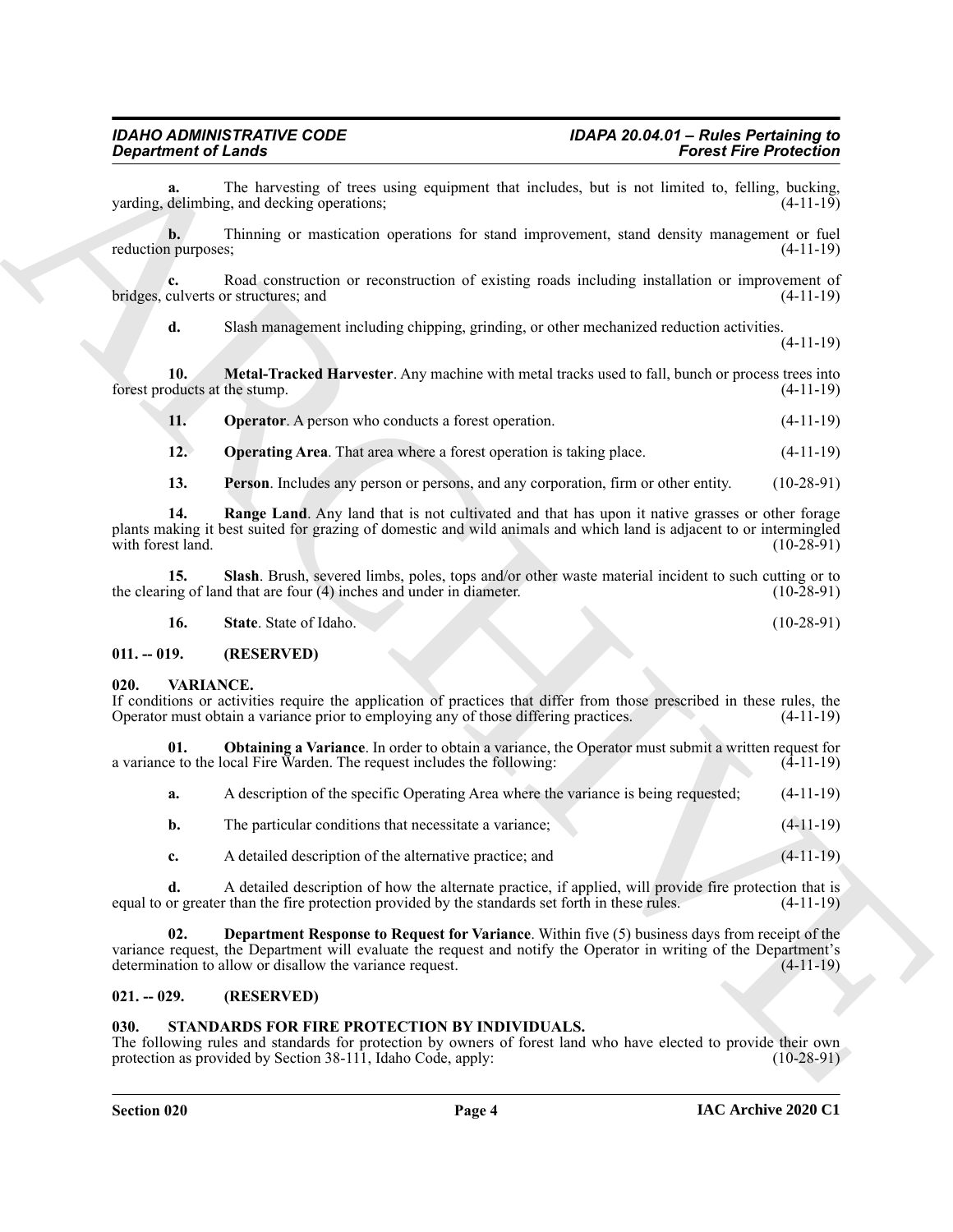### <span id="page-3-4"></span>*Department of Lands*

#### <span id="page-3-10"></span><span id="page-3-9"></span><span id="page-3-8"></span><span id="page-3-7"></span><span id="page-3-6"></span><span id="page-3-5"></span><span id="page-3-0"></span>**011. -- 019. (RESERVED)**

#### <span id="page-3-14"></span><span id="page-3-12"></span><span id="page-3-1"></span>**020. VARIANCE.**

| <b>Department of Lands</b>            | <b>Forest Fire Protection</b>                                                                                                                                                                                                                                                           |              |
|---------------------------------------|-----------------------------------------------------------------------------------------------------------------------------------------------------------------------------------------------------------------------------------------------------------------------------------------|--------------|
| a.                                    | The harvesting of trees using equipment that includes, but is not limited to, felling, bucking,<br>varding, delimbing, and decking operations;                                                                                                                                          | $(4-11-19)$  |
| $\mathbf{b}$ .<br>reduction purposes; | Thinning or mastication operations for stand improvement, stand density management or fuel                                                                                                                                                                                              | $(4-11-19)$  |
| bridges, culverts or structures; and  | Road construction or reconstruction of existing roads including installation or improvement of                                                                                                                                                                                          | $(4-11-19)$  |
| d.                                    | Slash management including chipping, grinding, or other mechanized reduction activities.                                                                                                                                                                                                | $(4-11-19)$  |
| 10.<br>forest products at the stump.  | Metal-Tracked Harvester. Any machine with metal tracks used to fall, bunch or process trees into                                                                                                                                                                                        | $(4-11-19)$  |
| <b>11.</b>                            | <b>Operator</b> . A person who conducts a forest operation.                                                                                                                                                                                                                             | $(4-11-19)$  |
| 12.                                   | <b>Operating Area.</b> That area where a forest operation is taking place.                                                                                                                                                                                                              | $(4-11-19)$  |
| 13.                                   | Person. Includes any person or persons, and any corporation, firm or other entity.                                                                                                                                                                                                      | $(10-28-91)$ |
| 14.<br>with forest land.              | Range Land. Any land that is not cultivated and that has upon it native grasses or other forage<br>plants making it best suited for grazing of domestic and wild animals and which land is adjacent to or intermingled                                                                  | $(10-28-91)$ |
| 15.                                   | Slash. Brush, severed limbs, poles, tops and/or other waste material incident to such cutting or to<br>the clearing of land that are four (4) inches and under in diameter.                                                                                                             | $(10-28-91)$ |
| 16.                                   | State. State of Idaho.                                                                                                                                                                                                                                                                  | $(10-28-91)$ |
| $011. - 019.$                         | (RESERVED)                                                                                                                                                                                                                                                                              |              |
| VARIANCE.<br>020.                     | If conditions or activities require the application of practices that differ from those prescribed in these rules, the<br>Operator must obtain a variance prior to employing any of those differing practices.                                                                          | $(4-11-19)$  |
| 01.                                   | Obtaining a Variance. In order to obtain a variance, the Operator must submit a written request for<br>a variance to the local Fire Warden. The request includes the following:                                                                                                         | $(4-11-19)$  |
| a.                                    | A description of the specific Operating Area where the variance is being requested;                                                                                                                                                                                                     | $(4-11-19)$  |
| b.                                    | The particular conditions that necessitate a variance;                                                                                                                                                                                                                                  | $(4-11-19)$  |
| c.                                    | A detailed description of the alternative practice; and                                                                                                                                                                                                                                 | $(4-11-19)$  |
| d.                                    | A detailed description of how the alternate practice, if applied, will provide fire protection that is<br>equal to or greater than the fire protection provided by the standards set forth in these rules.                                                                              | $(4-11-19)$  |
| 02.                                   | <b>Department Response to Request for Variance</b> . Within five (5) business days from receipt of the<br>variance request, the Department will evaluate the request and notify the Operator in writing of the Department's<br>determination to allow or disallow the variance request. | $(4-11-19)$  |
| $021. - 029.$                         | (RESERVED)                                                                                                                                                                                                                                                                              |              |
| 030.                                  | STANDARDS FOR FIRE PROTECTION BY INDIVIDUALS.                                                                                                                                                                                                                                           |              |

#### <span id="page-3-13"></span><span id="page-3-2"></span>**021. -- 029. (RESERVED)**

#### <span id="page-3-11"></span><span id="page-3-3"></span>**030. STANDARDS FOR FIRE PROTECTION BY INDIVIDUALS.**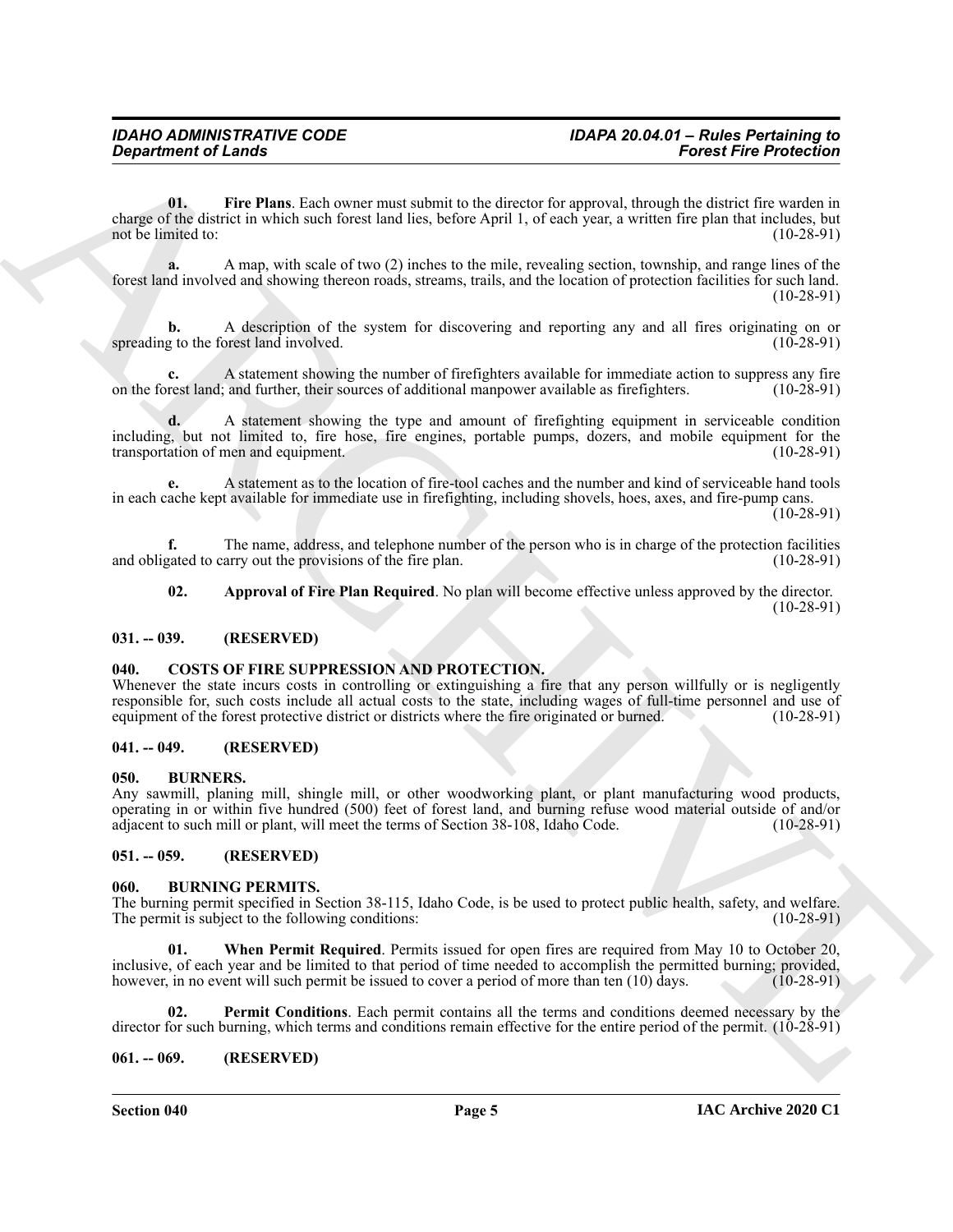**Considered of Lendary Constrainers** Constrainers Constrainers Constrainers Constrainers (a)  $\frac{1}{2}$  (b)  $\frac{1}{2}$  (b)  $\frac{1}{2}$  (b)  $\frac{1}{2}$  (b)  $\frac{1}{2}$  (b)  $\frac{1}{2}$  (b)  $\frac{1}{2}$  (b)  $\frac{1}{2}$  (b)  $\frac{1}{2}$  (b)  $\$ **01. Fire Plans**. Each owner must submit to the director for approval, through the district fire warden in charge of the district in which such forest land lies, before April 1, of each year, a written fire plan that includes, but not be limited to:

<span id="page-4-13"></span>**a.** A map, with scale of two (2) inches to the mile, revealing section, township, and range lines of the forest land involved and showing thereon roads, streams, trails, and the location of protection facilities for such land. (10-28-91)

**b.** A description of the system for discovering and reporting any and all fires originating on or spreading to the forest land involved.

**c.** A statement showing the number of firefighters available for immediate action to suppress any fire rest land: and further, their sources of additional manpower available as firefighters. (10-28-91) on the forest land; and further, their sources of additional manpower available as firefighters.

**d.** A statement showing the type and amount of firefighting equipment in serviceable condition including, but not limited to, fire hose, fire engines, portable pumps, dozers, and mobile equipment for the transportation of men and equipment.

**e.** A statement as to the location of fire-tool caches and the number and kind of serviceable hand tools in each cache kept available for immediate use in firefighting, including shovels, hoes, axes, and fire-pump cans.

 $(10-28-91)$ 

**f.** The name, address, and telephone number of the person who is in charge of the protection facilities vated to carry out the provisions of the fire plan. (10-28-91) and obligated to carry out the provisions of the fire plan.

<span id="page-4-12"></span>**02. Approval of Fire Plan Required**. No plan will become effective unless approved by the director. (10-28-91)

#### <span id="page-4-0"></span>**031. -- 039. (RESERVED)**

#### <span id="page-4-11"></span><span id="page-4-1"></span>**040. COSTS OF FIRE SUPPRESSION AND PROTECTION.**

Whenever the state incurs costs in controlling or extinguishing a fire that any person willfully or is negligently responsible for, such costs include all actual costs to the state, including wages of full-time personnel and use of equipment of the forest protective district or districts where the fire originated or burned. (10-28-91) equipment of the forest protective district or districts where the fire originated or burned.

#### <span id="page-4-2"></span>**041. -- 049. (RESERVED)**

#### <span id="page-4-7"></span><span id="page-4-3"></span>**050. BURNERS.**

Any sawmill, planing mill, shingle mill, or other woodworking plant, or plant manufacturing wood products, operating in or within five hundred (500) feet of forest land, and burning refuse wood material outside of and/or adjacent to such mill or plant, will meet the terms of Section 38-108, Idaho Code. (10-28-91) adjacent to such mill or plant, will meet the terms of Section 38-108, Idaho Code.

#### <span id="page-4-4"></span>**051. -- 059. (RESERVED)**

#### <span id="page-4-8"></span><span id="page-4-5"></span>**060. BURNING PERMITS.**

The burning permit specified in Section 38-115, Idaho Code, is be used to protect public health, safety, and welfare. The permit is subject to the following conditions: (10-28-91)

<span id="page-4-10"></span>**01. When Permit Required**. Permits issued for open fires are required from May 10 to October 20, inclusive, of each year and be limited to that period of time needed to accomplish the permitted burning; provided, however, in no event will such permit be issued to cover a period of more than ten (10) days. (10-28-91)

<span id="page-4-9"></span>**02. Permit Conditions**. Each permit contains all the terms and conditions deemed necessary by the director for such burning, which terms and conditions remain effective for the entire period of the permit. (10-28-91)

#### <span id="page-4-6"></span>**061. -- 069. (RESERVED)**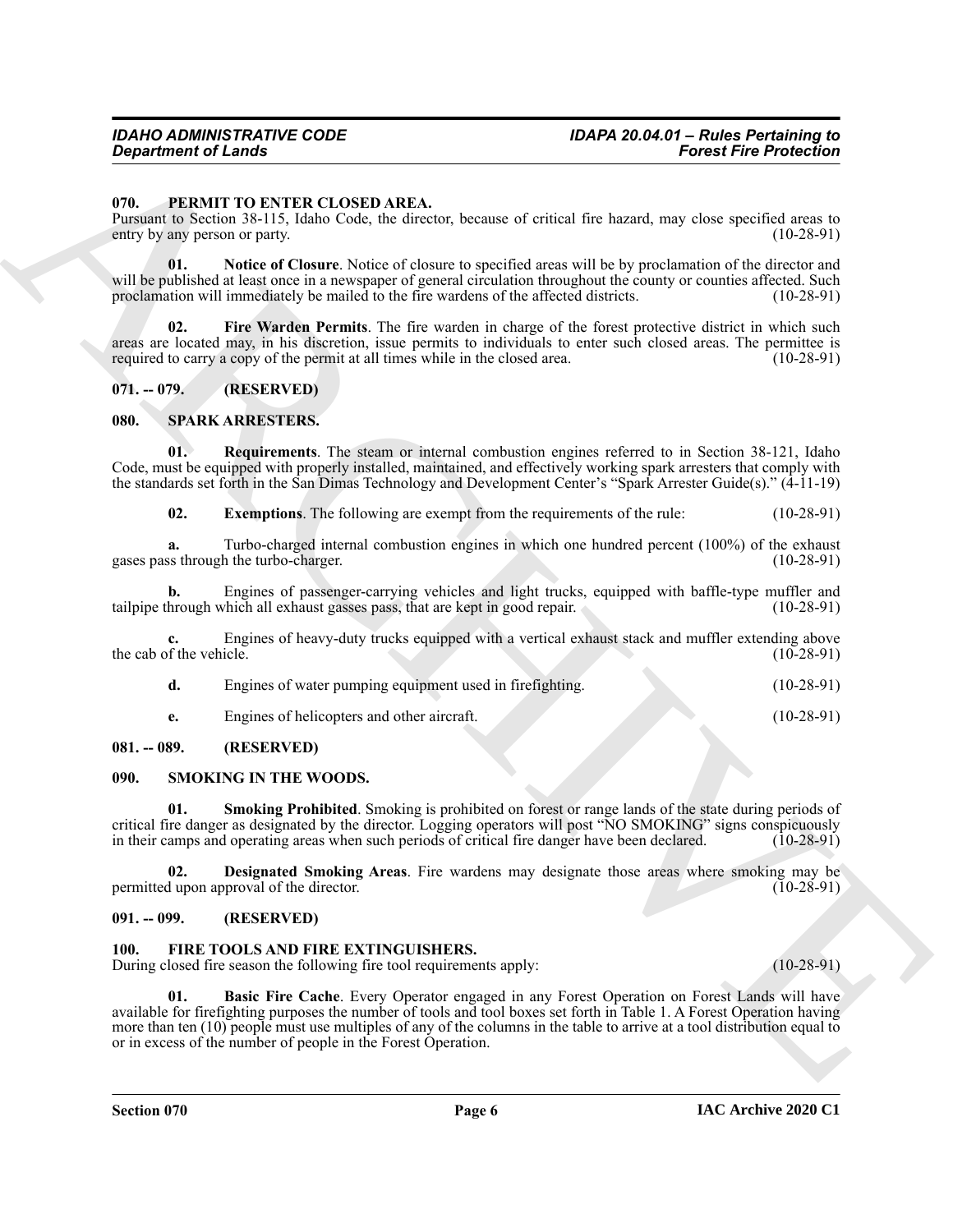### *Department of Lands*

#### <span id="page-5-9"></span><span id="page-5-0"></span>**070. PERMIT TO ENTER CLOSED AREA.**

Pursuant to Section 38-115, Idaho Code, the director, because of critical fire hazard, may close specified areas to entry by any person or party.

<span id="page-5-11"></span>**01. Notice of Closure**. Notice of closure to specified areas will be by proclamation of the director and will be published at least once in a newspaper of general circulation throughout the county or counties affected. Such proclamation will immediately be mailed to the fire wardens of the affected districts. (10-28-91) proclamation will immediately be mailed to the fire wardens of the affected districts.

<span id="page-5-10"></span>**02. Fire Warden Permits**. The fire warden in charge of the forest protective district in which such areas are located may, in his discretion, issue permits to individuals to enter such closed areas. The permittee is required to carry a copy of the permit at all times while in the closed area. (10-28-91) required to carry a copy of the permit at all times while in the closed area.

#### <span id="page-5-1"></span>**071. -- 079. (RESERVED)**

#### <span id="page-5-15"></span><span id="page-5-2"></span>**080. SPARK ARRESTERS.**

**01. Requirements**. The steam or internal combustion engines referred to in Section 38-121, Idaho Code, must be equipped with properly installed, maintained, and effectively working spark arresters that comply with the standards set forth in the San Dimas Technology and Development Center's "Spark Arrester Guide(s)." (4-11-19)

<span id="page-5-17"></span><span id="page-5-16"></span>**02.** Exemptions. The following are exempt from the requirements of the rule: (10-28-91)

**a.** Turbo-charged internal combustion engines in which one hundred percent (100%) of the exhaust is through the turbo-charger. (100%) gases pass through the turbo-charger.

**b.** Engines of passenger-carrying vehicles and light trucks, equipped with baffle-type muffler and hrough which all exhaust gasses pass, that are kept in good repair. (10-28-91) tailpipe through which all exhaust gasses pass, that are kept in good repair.

Engines of heavy-duty trucks equipped with a vertical exhaust stack and muffler extending above icle. (10-28-91) the cab of the vehicle.

| Engines of water pumping equipment used in firefighting. | $(10-28-91)$ |
|----------------------------------------------------------|--------------|
| Engines of helicopters and other aircraft.               | $(10-28-91)$ |

#### <span id="page-5-3"></span>**081. -- 089. (RESERVED)**

#### <span id="page-5-12"></span><span id="page-5-4"></span>**090. SMOKING IN THE WOODS.**

<span id="page-5-14"></span>**Smoking Prohibited**. Smoking is prohibited on forest or range lands of the state during periods of critical fire danger as designated by the director. Logging operators will post "NO SMOKING" signs conspicuously<br>in their camps and operating areas when such periods of critical fire danger have been declared. (10-28-91) in their camps and operating areas when such periods of critical fire danger have been declared.

<span id="page-5-13"></span>**02. Designated Smoking Areas**. Fire wardens may designate those areas where smoking may be dupon approval of the director. (10-28-91) permitted upon approval of the director.

#### <span id="page-5-5"></span>**091. -- 099. (RESERVED)**

#### <span id="page-5-7"></span><span id="page-5-6"></span>**100. FIRE TOOLS AND FIRE EXTINGUISHERS.**

<span id="page-5-8"></span>During closed fire season the following fire tool requirements apply: (10-28-91)

**Consulting of Lensis Consulting Consulting Consulting Consulting Consulting Consulting Consulting Consulting Consulting Consulting Consulting Consulting Consulting Consulting Consulting Consulting Consulting Consulting C 01. Basic Fire Cache**. Every Operator engaged in any Forest Operation on Forest Lands will have available for firefighting purposes the number of tools and tool boxes set forth in Table 1. A Forest Operation having more than ten (10) people must use multiples of any of the columns in the table to arrive at a tool distribution equal to or in excess of the number of people in the Forest Operation.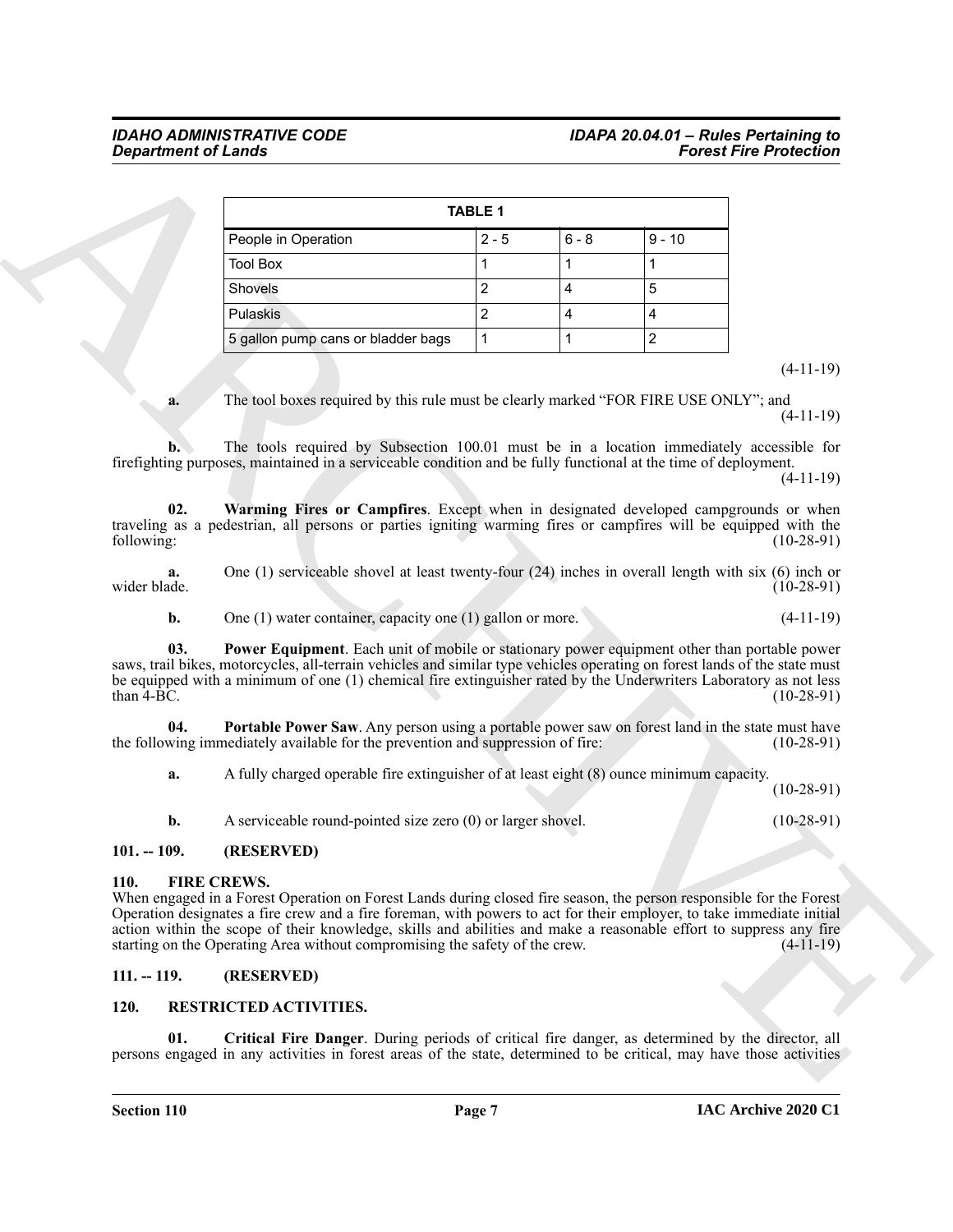|                              |                                                                                                                                                                                                                                                                                                                                                                                                                                                                                       | <b>TABLE 1</b> |                |                |                            |
|------------------------------|---------------------------------------------------------------------------------------------------------------------------------------------------------------------------------------------------------------------------------------------------------------------------------------------------------------------------------------------------------------------------------------------------------------------------------------------------------------------------------------|----------------|----------------|----------------|----------------------------|
|                              | People in Operation                                                                                                                                                                                                                                                                                                                                                                                                                                                                   | $2 - 5$        | $6 - 8$        | $9 - 10$       |                            |
|                              | <b>Tool Box</b>                                                                                                                                                                                                                                                                                                                                                                                                                                                                       | 1              | 1              | 1              |                            |
|                              | Shovels                                                                                                                                                                                                                                                                                                                                                                                                                                                                               | $\overline{c}$ | $\overline{4}$ | 5              |                            |
|                              | Pulaskis                                                                                                                                                                                                                                                                                                                                                                                                                                                                              | $\overline{c}$ | 4              | 4              |                            |
|                              | 5 gallon pump cans or bladder bags                                                                                                                                                                                                                                                                                                                                                                                                                                                    | $\mathbf{1}$   | 1              | $\overline{c}$ |                            |
| a.                           | The tool boxes required by this rule must be clearly marked "FOR FIRE USE ONLY"; and                                                                                                                                                                                                                                                                                                                                                                                                  |                |                |                | $(4-11-19)$<br>$(4-11-19)$ |
| $\mathbf{b}$ .               | The tools required by Subsection 100.01 must be in a location immediately accessible for<br>firefighting purposes, maintained in a serviceable condition and be fully functional at the time of deployment.                                                                                                                                                                                                                                                                           |                |                |                | $(4-11-19)$                |
| 02.<br>following:            | Warming Fires or Campfires. Except when in designated developed campgrounds or when<br>traveling as a pedestrian, all persons or parties igniting warming fires or campfires will be equipped with the                                                                                                                                                                                                                                                                                |                |                |                | $(10-28-91)$               |
| a.<br>wider blade.           | One (1) serviceable shovel at least twenty-four $(24)$ inches in overall length with six (6) inch or                                                                                                                                                                                                                                                                                                                                                                                  |                |                |                | $(10-28-91)$               |
| b.                           | One $(1)$ water container, capacity one $(1)$ gallon or more.                                                                                                                                                                                                                                                                                                                                                                                                                         |                |                |                | $(4-11-19)$                |
| 03.<br>than $4-BC$ .         | <b>Power Equipment</b> . Each unit of mobile or stationary power equipment other than portable power<br>saws, trail bikes, motorcycles, all-terrain vehicles and similar type vehicles operating on forest lands of the state must<br>be equipped with a minimum of one (1) chemical fire extinguisher rated by the Underwriters Laboratory as not less                                                                                                                               |                |                |                | $(10-28-91)$               |
| 04.                          | Portable Power Saw. Any person using a portable power saw on forest land in the state must have<br>the following immediately available for the prevention and suppression of fire:                                                                                                                                                                                                                                                                                                    |                |                |                | $(10-28-91)$               |
| a.                           | A fully charged operable fire extinguisher of at least eight (8) ounce minimum capacity.                                                                                                                                                                                                                                                                                                                                                                                              |                |                |                | $(10-28-91)$               |
|                              | A serviceable round-pointed size zero (0) or larger shovel.                                                                                                                                                                                                                                                                                                                                                                                                                           |                |                |                |                            |
| b.                           |                                                                                                                                                                                                                                                                                                                                                                                                                                                                                       |                |                |                | $(10-28-91)$               |
| $101. - 109.$                |                                                                                                                                                                                                                                                                                                                                                                                                                                                                                       |                |                |                |                            |
|                              | (RESERVED)<br><b>FIRE CREWS.</b><br>When engaged in a Forest Operation on Forest Lands during closed fire season, the person responsible for the Forest<br>Operation designates a fire crew and a fire foreman, with powers to act for their employer, to take immediate initial<br>action within the scope of their knowledge, skills and abilities and make a reasonable effort to suppress any fire<br>starting on the Operating Area without compromising the safety of the crew. |                |                |                | (4-11-19)                  |
| <b>110.</b><br>$111. - 119.$ | (RESERVED)                                                                                                                                                                                                                                                                                                                                                                                                                                                                            |                |                |                |                            |

#### (4-11-19)

#### <span id="page-6-7"></span><span id="page-6-6"></span><span id="page-6-5"></span><span id="page-6-0"></span>**101. -- 109. (RESERVED)**

#### <span id="page-6-4"></span><span id="page-6-1"></span>**110. FIRE CREWS.**

#### <span id="page-6-2"></span>**111. -- 119. (RESERVED)**

#### <span id="page-6-9"></span><span id="page-6-8"></span><span id="page-6-3"></span>**120. RESTRICTED ACTIVITIES.**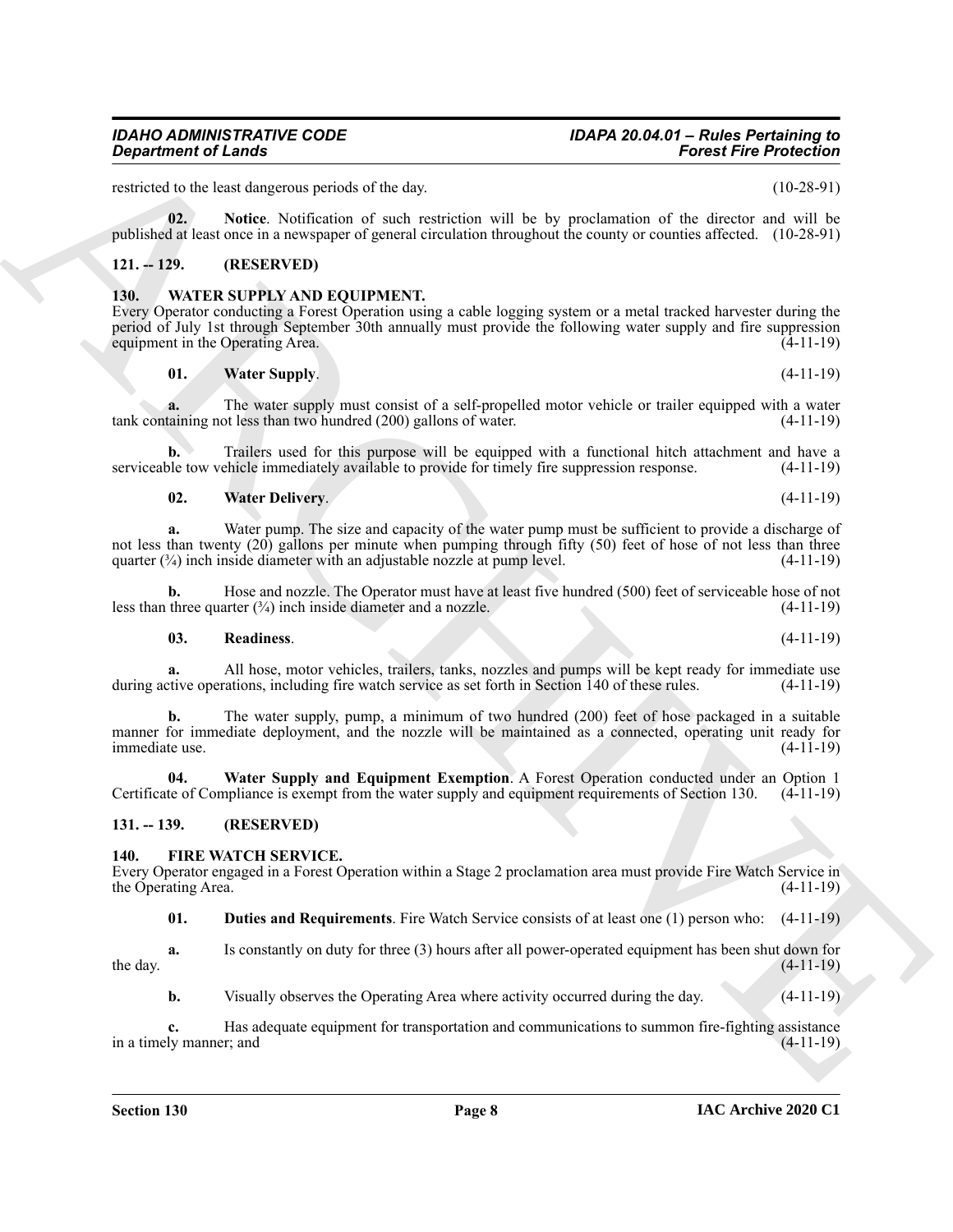restricted to the least dangerous periods of the day. (10-28-91)

<span id="page-7-6"></span>**02. Notice**. Notification of such restriction will be by proclamation of the director and will be published at least once in a newspaper of general circulation throughout the county or counties affected. (10-28-91)

#### <span id="page-7-0"></span>**121. -- 129. (RESERVED)**

*Department of Lands* 

#### <span id="page-7-7"></span><span id="page-7-1"></span>**130. WATER SUPPLY AND EQUIPMENT.**

Every Operator conducting a Forest Operation using a cable logging system or a metal tracked harvester during the period of July 1st through September 30th annually must provide the following water supply and fire suppression equipment in the Operating Area. (4-11-19)

#### <span id="page-7-10"></span>**01. Water Supply**. (4-11-19)

**a.** The water supply must consist of a self-propelled motor vehicle or trailer equipped with a water taining not less than two hundred (200) gallons of water. (4-11-19)  $tank$  containing not less than two hundred (200) gallons of water.

**b.** Trailers used for this purpose will be equipped with a functional hitch attachment and have a serviceable tow vehicle immediately available to provide for timely fire suppression response. (4-11-19)

#### <span id="page-7-9"></span>**02. Water Delivery**. (4-11-19)

**Consider of Leads were standard and the standard interaction of the Consider Archives Consider the Leads Construction of the Consider Archives Construction of the Construction of the Construction of the Construction of t a.** Water pump. The size and capacity of the water pump must be sufficient to provide a discharge of not less than twenty (20) gallons per minute when pumping through fifty (50) feet of hose of not less than three quarter  $(\frac{3}{4})$  inch inside diameter with an adjustable nozzle at pump level.  $(4-11-19)$ 

**b.** Hose and nozzle. The Operator must have at least five hundred (500) feet of serviceable hose of not three quarter ( $\frac{3}{4}$ ) inch inside diameter and a nozzle. (4-11-19) less than three quarter  $(3/4)$  inch inside diameter and a nozzle.

#### <span id="page-7-8"></span>**03. Readiness**. (4-11-19)

**a.** All hose, motor vehicles, trailers, tanks, nozzles and pumps will be kept ready for immediate use during active operations, including fire watch service as set forth in Section 140 of these rules. (4-11-19)

**b.** The water supply, pump, a minimum of two hundred (200) feet of hose packaged in a suitable manner for immediate deployment, and the nozzle will be maintained as a connected, operating unit ready for immediate use. (4-11-19)

<span id="page-7-11"></span>**04. Water Supply and Equipment Exemption**. A Forest Operation conducted under an Option 1 Certificate of Compliance is exempt from the water supply and equipment requirements of Section 130. (4-11-19)

#### <span id="page-7-2"></span>**131. -- 139. (RESERVED)**

#### <span id="page-7-4"></span><span id="page-7-3"></span>**140. FIRE WATCH SERVICE.**

Every Operator engaged in a Forest Operation within a Stage 2 proclamation area must provide Fire Watch Service in the Operating Area.

<span id="page-7-5"></span>**01. Duties and Requirements**. Fire Watch Service consists of at least one (1) person who: (4-11-19)

**a.** Is constantly on duty for three (3) hours after all power-operated equipment has been shut down for (4-11-19) the day.  $(4-11-19)$ 

**b.** Visually observes the Operating Area where activity occurred during the day. (4-11-19)

**c.** Has adequate equipment for transportation and communications to summon fire-fighting assistance ly manner; and (4-11-19) in a timely manner; and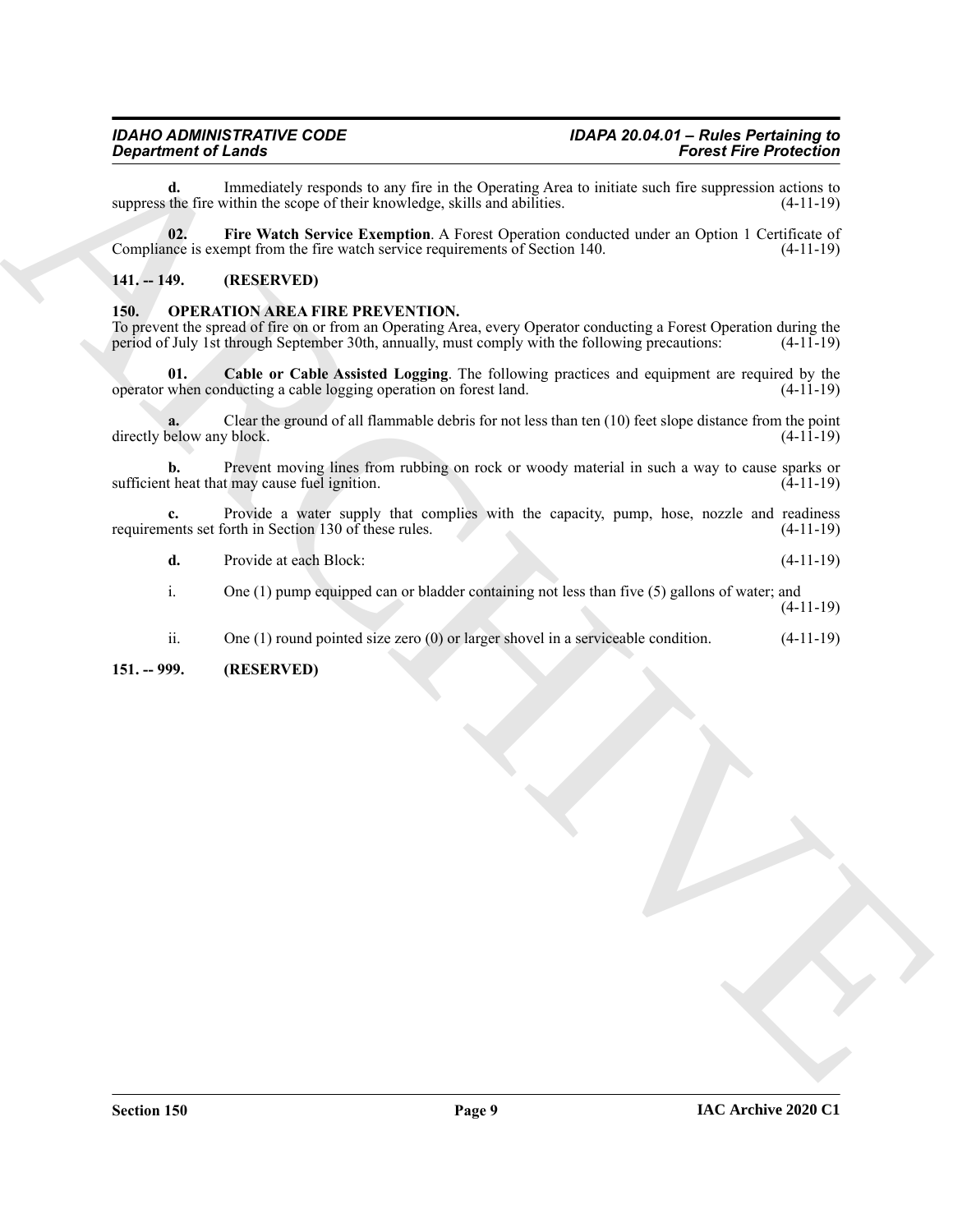#### <span id="page-8-3"></span><span id="page-8-0"></span>**141. -- 149. (RESERVED)**

#### <span id="page-8-5"></span><span id="page-8-4"></span><span id="page-8-2"></span><span id="page-8-1"></span>**150. OPERATION AREA FIRE PREVENTION.**

| Immediately responds to any fire in the Operating Area to initiate such fire suppression actions to<br>d.<br>suppress the fire within the scope of their knowledge, skills and abilities.<br>$(4-11-19)$<br>Fire Watch Service Exemption. A Forest Operation conducted under an Option 1 Certificate of<br>02.<br>Compliance is exempt from the fire watch service requirements of Section 140.<br>$(4-11-19)$<br>$141. - 149.$<br>(RESERVED)<br><b>OPERATION AREA FIRE PREVENTION.</b><br>150.<br>To prevent the spread of fire on or from an Operating Area, every Operator conducting a Forest Operation during the<br>period of July 1st through September 30th, annually, must comply with the following precautions:<br>$(4-11-19)$<br>Cable or Cable Assisted Logging. The following practices and equipment are required by the<br>01.<br>operator when conducting a cable logging operation on forest land.<br>$(4-11-19)$<br>Clear the ground of all flammable debris for not less than ten (10) feet slope distance from the point<br>directly below any block.<br>$(4-11-19)$<br>Prevent moving lines from rubbing on rock or woody material in such a way to cause sparks or<br>b.<br>sufficient heat that may cause fuel ignition.<br>$(4-11-19)$<br>Provide a water supply that complies with the capacity, pump, hose, nozzle and readiness<br>requirements set forth in Section 130 of these rules.<br>$(4-11-19)$<br>d.<br>Provide at each Block:<br>$(4-11-19)$<br>One $(1)$ pump equipped can or bladder containing not less than five $(5)$ gallons of water; and<br>i.<br>$(4-11-19)$<br>ii.<br>One $(1)$ round pointed size zero $(0)$ or larger shovel in a serviceable condition.<br>$(4-11-19)$<br>$151. - 999.$<br>(RESERVED) | <b>Department of Lands</b><br><b>Forest Fire Protection</b> |  |
|----------------------------------------------------------------------------------------------------------------------------------------------------------------------------------------------------------------------------------------------------------------------------------------------------------------------------------------------------------------------------------------------------------------------------------------------------------------------------------------------------------------------------------------------------------------------------------------------------------------------------------------------------------------------------------------------------------------------------------------------------------------------------------------------------------------------------------------------------------------------------------------------------------------------------------------------------------------------------------------------------------------------------------------------------------------------------------------------------------------------------------------------------------------------------------------------------------------------------------------------------------------------------------------------------------------------------------------------------------------------------------------------------------------------------------------------------------------------------------------------------------------------------------------------------------------------------------------------------------------------------------------------------------------------------------------------------------------------------------------------------------|-------------------------------------------------------------|--|
|                                                                                                                                                                                                                                                                                                                                                                                                                                                                                                                                                                                                                                                                                                                                                                                                                                                                                                                                                                                                                                                                                                                                                                                                                                                                                                                                                                                                                                                                                                                                                                                                                                                                                                                                                          |                                                             |  |
|                                                                                                                                                                                                                                                                                                                                                                                                                                                                                                                                                                                                                                                                                                                                                                                                                                                                                                                                                                                                                                                                                                                                                                                                                                                                                                                                                                                                                                                                                                                                                                                                                                                                                                                                                          |                                                             |  |
|                                                                                                                                                                                                                                                                                                                                                                                                                                                                                                                                                                                                                                                                                                                                                                                                                                                                                                                                                                                                                                                                                                                                                                                                                                                                                                                                                                                                                                                                                                                                                                                                                                                                                                                                                          |                                                             |  |
|                                                                                                                                                                                                                                                                                                                                                                                                                                                                                                                                                                                                                                                                                                                                                                                                                                                                                                                                                                                                                                                                                                                                                                                                                                                                                                                                                                                                                                                                                                                                                                                                                                                                                                                                                          |                                                             |  |
|                                                                                                                                                                                                                                                                                                                                                                                                                                                                                                                                                                                                                                                                                                                                                                                                                                                                                                                                                                                                                                                                                                                                                                                                                                                                                                                                                                                                                                                                                                                                                                                                                                                                                                                                                          |                                                             |  |
|                                                                                                                                                                                                                                                                                                                                                                                                                                                                                                                                                                                                                                                                                                                                                                                                                                                                                                                                                                                                                                                                                                                                                                                                                                                                                                                                                                                                                                                                                                                                                                                                                                                                                                                                                          |                                                             |  |
|                                                                                                                                                                                                                                                                                                                                                                                                                                                                                                                                                                                                                                                                                                                                                                                                                                                                                                                                                                                                                                                                                                                                                                                                                                                                                                                                                                                                                                                                                                                                                                                                                                                                                                                                                          |                                                             |  |
|                                                                                                                                                                                                                                                                                                                                                                                                                                                                                                                                                                                                                                                                                                                                                                                                                                                                                                                                                                                                                                                                                                                                                                                                                                                                                                                                                                                                                                                                                                                                                                                                                                                                                                                                                          |                                                             |  |
|                                                                                                                                                                                                                                                                                                                                                                                                                                                                                                                                                                                                                                                                                                                                                                                                                                                                                                                                                                                                                                                                                                                                                                                                                                                                                                                                                                                                                                                                                                                                                                                                                                                                                                                                                          |                                                             |  |
|                                                                                                                                                                                                                                                                                                                                                                                                                                                                                                                                                                                                                                                                                                                                                                                                                                                                                                                                                                                                                                                                                                                                                                                                                                                                                                                                                                                                                                                                                                                                                                                                                                                                                                                                                          |                                                             |  |
|                                                                                                                                                                                                                                                                                                                                                                                                                                                                                                                                                                                                                                                                                                                                                                                                                                                                                                                                                                                                                                                                                                                                                                                                                                                                                                                                                                                                                                                                                                                                                                                                                                                                                                                                                          |                                                             |  |
|                                                                                                                                                                                                                                                                                                                                                                                                                                                                                                                                                                                                                                                                                                                                                                                                                                                                                                                                                                                                                                                                                                                                                                                                                                                                                                                                                                                                                                                                                                                                                                                                                                                                                                                                                          |                                                             |  |